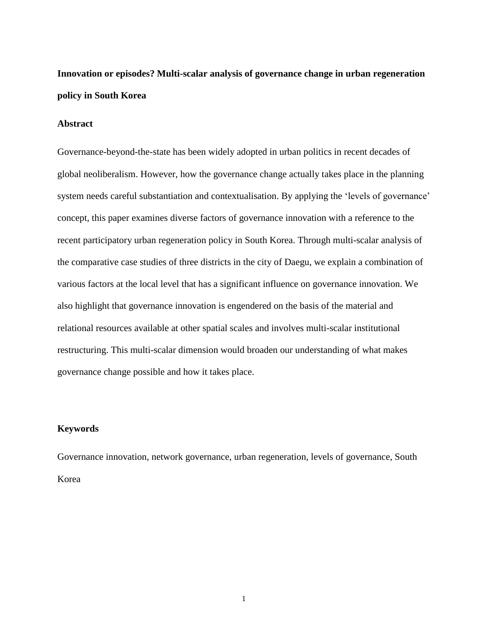# **Innovation or episodes? Multi-scalar analysis of governance change in urban regeneration policy in South Korea**

#### **Abstract**

Governance-beyond-the-state has been widely adopted in urban politics in recent decades of global neoliberalism. However, how the governance change actually takes place in the planning system needs careful substantiation and contextualisation. By applying the 'levels of governance' concept, this paper examines diverse factors of governance innovation with a reference to the recent participatory urban regeneration policy in South Korea. Through multi-scalar analysis of the comparative case studies of three districts in the city of Daegu, we explain a combination of various factors at the local level that has a significant influence on governance innovation. We also highlight that governance innovation is engendered on the basis of the material and relational resources available at other spatial scales and involves multi-scalar institutional restructuring. This multi-scalar dimension would broaden our understanding of what makes governance change possible and how it takes place.

# **Keywords**

Governance innovation, network governance, urban regeneration, levels of governance, South Korea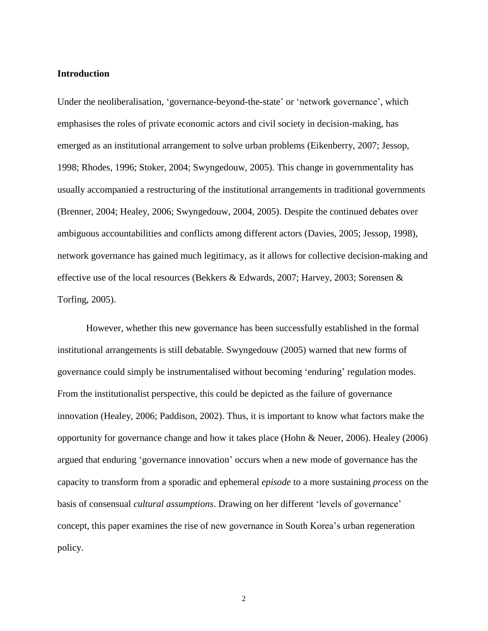#### **Introduction**

Under the neoliberalisation, 'governance-beyond-the-state' or 'network governance', which emphasises the roles of private economic actors and civil society in decision-making, has emerged as an institutional arrangement to solve urban problems (Eikenberry, 2007; Jessop, 1998; Rhodes, 1996; Stoker, 2004; Swyngedouw, 2005). This change in governmentality has usually accompanied a restructuring of the institutional arrangements in traditional governments (Brenner, 2004; Healey, 2006; Swyngedouw, 2004, 2005). Despite the continued debates over ambiguous accountabilities and conflicts among different actors (Davies, 2005; Jessop, 1998), network governance has gained much legitimacy, as it allows for collective decision-making and effective use of the local resources (Bekkers & Edwards, 2007; Harvey, 2003; Sorensen & Torfing, 2005).

However, whether this new governance has been successfully established in the formal institutional arrangements is still debatable. Swyngedouw (2005) warned that new forms of governance could simply be instrumentalised without becoming 'enduring' regulation modes. From the institutionalist perspective, this could be depicted as the failure of governance innovation (Healey, 2006; Paddison, 2002). Thus, it is important to know what factors make the opportunity for governance change and how it takes place (Hohn & Neuer, 2006). Healey (2006) argued that enduring 'governance innovation' occurs when a new mode of governance has the capacity to transform from a sporadic and ephemeral *episode* to a more sustaining *process* on the basis of consensual *cultural assumptions*. Drawing on her different 'levels of governance' concept, this paper examines the rise of new governance in South Korea's urban regeneration policy.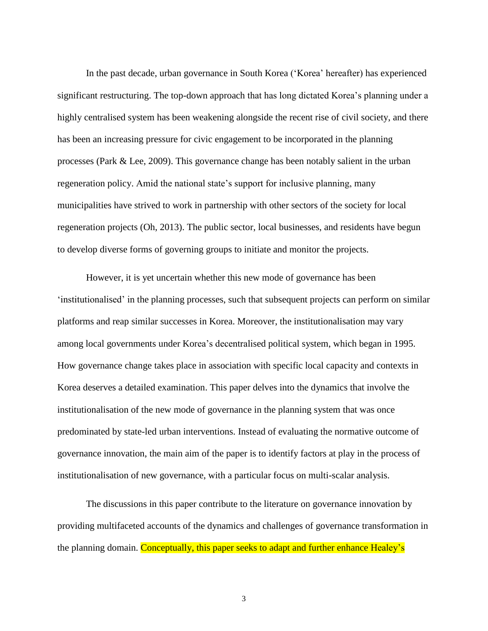In the past decade, urban governance in South Korea ('Korea' hereafter) has experienced significant restructuring. The top-down approach that has long dictated Korea's planning under a highly centralised system has been weakening alongside the recent rise of civil society, and there has been an increasing pressure for civic engagement to be incorporated in the planning processes (Park & Lee, 2009). This governance change has been notably salient in the urban regeneration policy. Amid the national state's support for inclusive planning, many municipalities have strived to work in partnership with other sectors of the society for local regeneration projects (Oh, 2013). The public sector, local businesses, and residents have begun to develop diverse forms of governing groups to initiate and monitor the projects.

However, it is yet uncertain whether this new mode of governance has been 'institutionalised' in the planning processes, such that subsequent projects can perform on similar platforms and reap similar successes in Korea. Moreover, the institutionalisation may vary among local governments under Korea's decentralised political system, which began in 1995. How governance change takes place in association with specific local capacity and contexts in Korea deserves a detailed examination. This paper delves into the dynamics that involve the institutionalisation of the new mode of governance in the planning system that was once predominated by state-led urban interventions. Instead of evaluating the normative outcome of governance innovation, the main aim of the paper is to identify factors at play in the process of institutionalisation of new governance, with a particular focus on multi-scalar analysis.

The discussions in this paper contribute to the literature on governance innovation by providing multifaceted accounts of the dynamics and challenges of governance transformation in the planning domain. Conceptually, this paper seeks to adapt and further enhance Healey's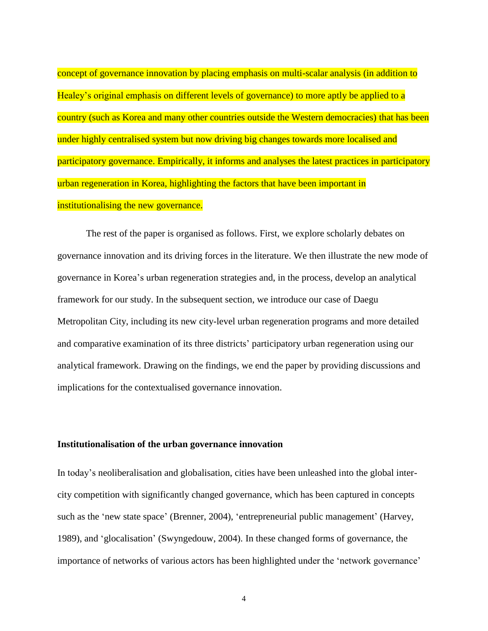concept of governance innovation by placing emphasis on multi-scalar analysis (in addition to Healey's original emphasis on different levels of governance) to more aptly be applied to a country (such as Korea and many other countries outside the Western democracies) that has been under highly centralised system but now driving big changes towards more localised and participatory governance. Empirically, it informs and analyses the latest practices in participatory urban regeneration in Korea, highlighting the factors that have been important in institutionalising the new governance.

The rest of the paper is organised as follows. First, we explore scholarly debates on governance innovation and its driving forces in the literature. We then illustrate the new mode of governance in Korea's urban regeneration strategies and, in the process, develop an analytical framework for our study. In the subsequent section, we introduce our case of Daegu Metropolitan City, including its new city-level urban regeneration programs and more detailed and comparative examination of its three districts' participatory urban regeneration using our analytical framework. Drawing on the findings, we end the paper by providing discussions and implications for the contextualised governance innovation.

### **Institutionalisation of the urban governance innovation**

In today's neoliberalisation and globalisation, cities have been unleashed into the global intercity competition with significantly changed governance, which has been captured in concepts such as the 'new state space' (Brenner, 2004), 'entrepreneurial public management' (Harvey, 1989), and 'glocalisation' (Swyngedouw, 2004). In these changed forms of governance, the importance of networks of various actors has been highlighted under the 'network governance'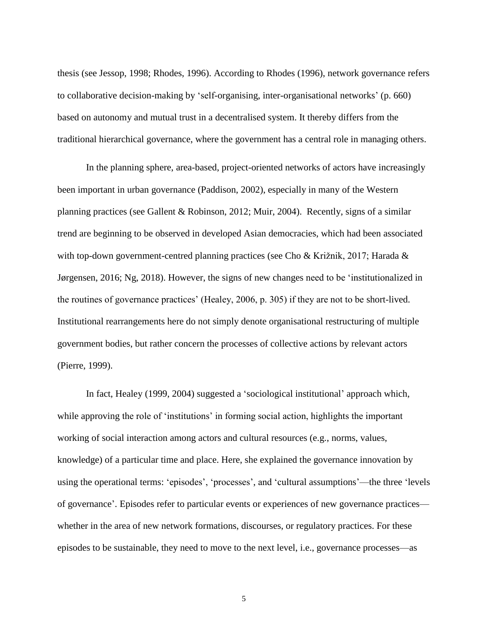thesis (see Jessop, 1998; Rhodes, 1996). According to Rhodes (1996), network governance refers to collaborative decision-making by 'self-organising, inter-organisational networks' (p. 660) based on autonomy and mutual trust in a decentralised system. It thereby differs from the traditional hierarchical governance, where the government has a central role in managing others.

In the planning sphere, area-based, project-oriented networks of actors have increasingly been important in urban governance (Paddison, 2002), especially in many of the Western planning practices (see Gallent & Robinson, 2012; Muir, 2004). Recently, signs of a similar trend are beginning to be observed in developed Asian democracies, which had been associated with top-down government-centred planning practices (see Cho & Križnik, 2017; Harada & Jørgensen, 2016; Ng, 2018). However, the signs of new changes need to be 'institutionalized in the routines of governance practices' (Healey, 2006, p. 305) if they are not to be short-lived. Institutional rearrangements here do not simply denote organisational restructuring of multiple government bodies, but rather concern the processes of collective actions by relevant actors (Pierre, 1999).

In fact, Healey (1999, 2004) suggested a 'sociological institutional' approach which, while approving the role of 'institutions' in forming social action, highlights the important working of social interaction among actors and cultural resources (e.g., norms, values, knowledge) of a particular time and place. Here, she explained the governance innovation by using the operational terms: 'episodes', 'processes', and 'cultural assumptions'—the three 'levels of governance'. Episodes refer to particular events or experiences of new governance practices whether in the area of new network formations, discourses, or regulatory practices. For these episodes to be sustainable, they need to move to the next level, i.e., governance processes—as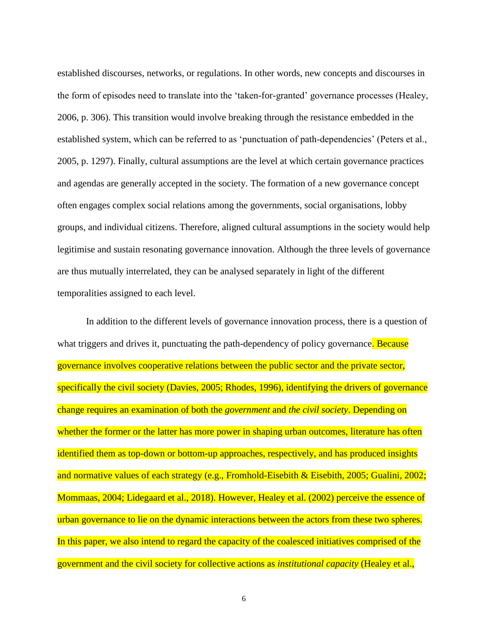established discourses, networks, or regulations. In other words, new concepts and discourses in the form of episodes need to translate into the 'taken-for-granted' governance processes (Healey, 2006, p. 306). This transition would involve breaking through the resistance embedded in the established system, which can be referred to as 'punctuation of path-dependencies' (Peters et al., 2005, p. 1297). Finally, cultural assumptions are the level at which certain governance practices and agendas are generally accepted in the society. The formation of a new governance concept often engages complex social relations among the governments, social organisations, lobby groups, and individual citizens. Therefore, aligned cultural assumptions in the society would help legitimise and sustain resonating governance innovation. Although the three levels of governance are thus mutually interrelated, they can be analysed separately in light of the different temporalities assigned to each level.

In addition to the different levels of governance innovation process, there is a question of what triggers and drives it, punctuating the path-dependency of policy governance. Because governance involves cooperative relations between the public sector and the private sector, specifically the civil society (Davies, 2005; Rhodes, 1996), identifying the drivers of governance change requires an examination of both the *government* and *the civil society*. Depending on whether the former or the latter has more power in shaping urban outcomes, literature has often identified them as top-down or bottom-up approaches, respectively, and has produced insights and normative values of each strategy (e.g., Fromhold-Eisebith & Eisebith, 2005; Gualini, 2002; Mommaas, 2004; Lidegaard et al., 2018). However, Healey et al. (2002) perceive the essence of urban governance to lie on the dynamic interactions between the actors from these two spheres. In this paper, we also intend to regard the capacity of the coalesced initiatives comprised of the government and the civil society for collective actions as *institutional capacity* (Healey et al.,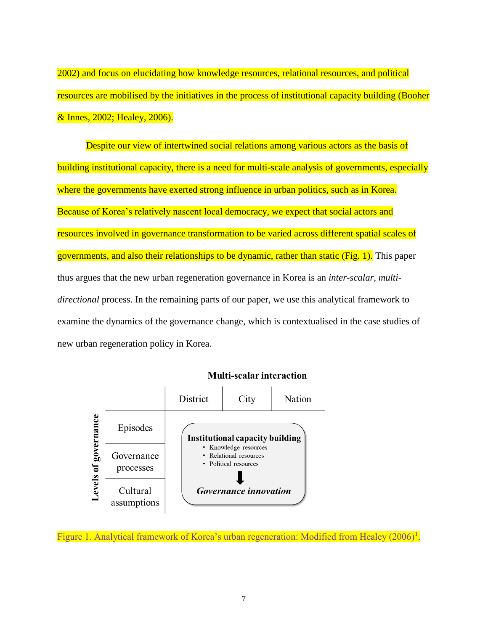2002) and focus on elucidating how knowledge resources, relational resources, and political resources are mobilised by the initiatives in the process of institutional capacity building (Booher & Innes, 2002; Healey, 2006).

Despite our view of intertwined social relations among various actors as the basis of building institutional capacity, there is a need for multi-scale analysis of governments, especially where the governments have exerted strong influence in urban politics, such as in Korea. Because of Korea's relatively nascent local democracy, we expect that social actors and resources involved in governance transformation to be varied across different spatial scales of governments, and also their relationships to be dynamic, rather than static (Fig. 1). This paper thus argues that the new urban regeneration governance in Korea is an *inter-scalar, multidirectional* process. In the remaining parts of our paper, we use this analytical framework to examine the dynamics of the governance change, which is contextualised in the case studies of new urban regeneration policy in Korea.



**Multi-scalar interaction** 

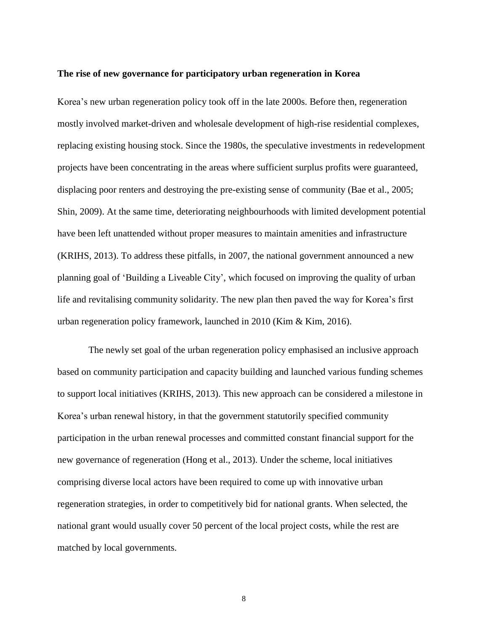#### **The rise of new governance for participatory urban regeneration in Korea**

Korea's new urban regeneration policy took off in the late 2000s. Before then, regeneration mostly involved market-driven and wholesale development of high-rise residential complexes, replacing existing housing stock. Since the 1980s, the speculative investments in redevelopment projects have been concentrating in the areas where sufficient surplus profits were guaranteed, displacing poor renters and destroying the pre-existing sense of community (Bae et al., 2005; Shin, 2009). At the same time, deteriorating neighbourhoods with limited development potential have been left unattended without proper measures to maintain amenities and infrastructure (KRIHS, 2013). To address these pitfalls, in 2007, the national government announced a new planning goal of 'Building a Liveable City', which focused on improving the quality of urban life and revitalising community solidarity. The new plan then paved the way for Korea's first urban regeneration policy framework, launched in 2010 (Kim & Kim, 2016).

The newly set goal of the urban regeneration policy emphasised an inclusive approach based on community participation and capacity building and launched various funding schemes to support local initiatives (KRIHS, 2013). This new approach can be considered a milestone in Korea's urban renewal history, in that the government statutorily specified community participation in the urban renewal processes and committed constant financial support for the new governance of regeneration (Hong et al., 2013). Under the scheme, local initiatives comprising diverse local actors have been required to come up with innovative urban regeneration strategies, in order to competitively bid for national grants. When selected, the national grant would usually cover 50 percent of the local project costs, while the rest are matched by local governments.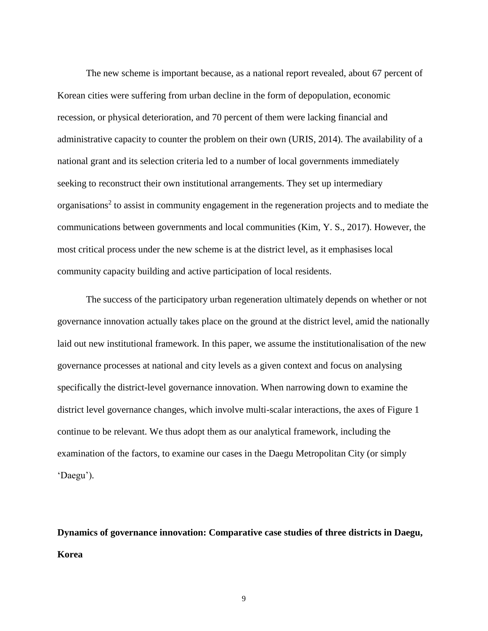The new scheme is important because, as a national report revealed, about 67 percent of Korean cities were suffering from urban decline in the form of depopulation, economic recession, or physical deterioration, and 70 percent of them were lacking financial and administrative capacity to counter the problem on their own (URIS, 2014). The availability of a national grant and its selection criteria led to a number of local governments immediately seeking to reconstruct their own institutional arrangements. They set up intermediary organisations<sup>2</sup> to assist in community engagement in the regeneration projects and to mediate the communications between governments and local communities (Kim, Y. S., 2017). However, the most critical process under the new scheme is at the district level, as it emphasises local community capacity building and active participation of local residents.

The success of the participatory urban regeneration ultimately depends on whether or not governance innovation actually takes place on the ground at the district level, amid the nationally laid out new institutional framework. In this paper, we assume the institutionalisation of the new governance processes at national and city levels as a given context and focus on analysing specifically the district-level governance innovation. When narrowing down to examine the district level governance changes, which involve multi-scalar interactions, the axes of Figure 1 continue to be relevant. We thus adopt them as our analytical framework, including the examination of the factors, to examine our cases in the Daegu Metropolitan City (or simply 'Daegu').

**Dynamics of governance innovation: Comparative case studies of three districts in Daegu, Korea**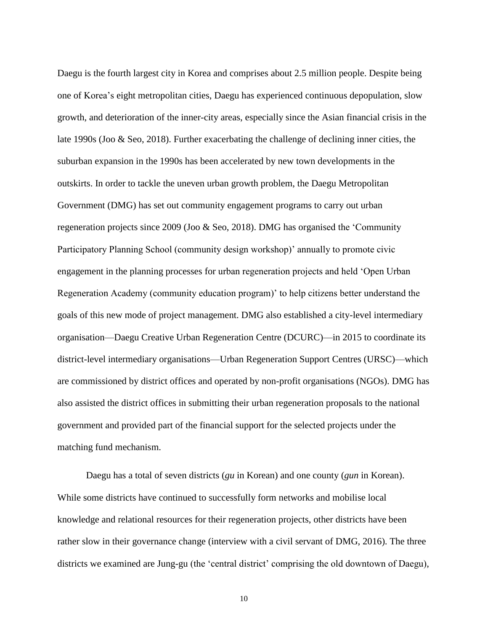Daegu is the fourth largest city in Korea and comprises about 2.5 million people. Despite being one of Korea's eight metropolitan cities, Daegu has experienced continuous depopulation, slow growth, and deterioration of the inner-city areas, especially since the Asian financial crisis in the late 1990s (Joo & Seo, 2018). Further exacerbating the challenge of declining inner cities, the suburban expansion in the 1990s has been accelerated by new town developments in the outskirts. In order to tackle the uneven urban growth problem, the Daegu Metropolitan Government (DMG) has set out community engagement programs to carry out urban regeneration projects since 2009 (Joo & Seo, 2018). DMG has organised the 'Community Participatory Planning School (community design workshop)' annually to promote civic engagement in the planning processes for urban regeneration projects and held 'Open Urban Regeneration Academy (community education program)' to help citizens better understand the goals of this new mode of project management. DMG also established a city-level intermediary organisation—Daegu Creative Urban Regeneration Centre (DCURC)—in 2015 to coordinate its district-level intermediary organisations—Urban Regeneration Support Centres (URSC)—which are commissioned by district offices and operated by non-profit organisations (NGOs). DMG has also assisted the district offices in submitting their urban regeneration proposals to the national government and provided part of the financial support for the selected projects under the matching fund mechanism.

Daegu has a total of seven districts (*gu* in Korean) and one county (*gun* in Korean). While some districts have continued to successfully form networks and mobilise local knowledge and relational resources for their regeneration projects, other districts have been rather slow in their governance change (interview with a civil servant of DMG, 2016). The three districts we examined are Jung-gu (the 'central district' comprising the old downtown of Daegu),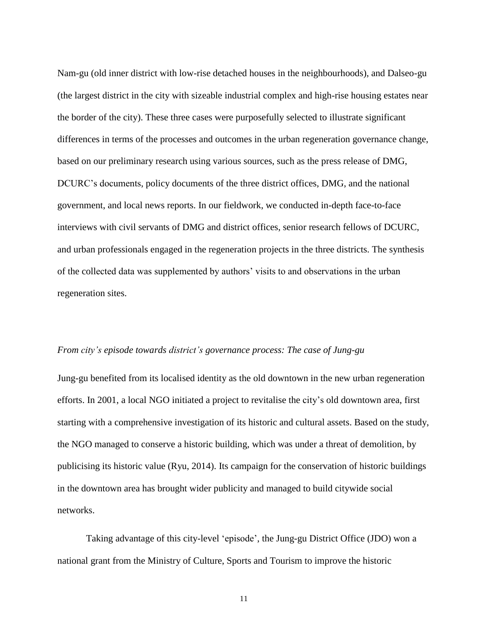Nam-gu (old inner district with low-rise detached houses in the neighbourhoods), and Dalseo-gu (the largest district in the city with sizeable industrial complex and high-rise housing estates near the border of the city). These three cases were purposefully selected to illustrate significant differences in terms of the processes and outcomes in the urban regeneration governance change, based on our preliminary research using various sources, such as the press release of DMG, DCURC's documents, policy documents of the three district offices, DMG, and the national government, and local news reports. In our fieldwork, we conducted in-depth face-to-face interviews with civil servants of DMG and district offices, senior research fellows of DCURC, and urban professionals engaged in the regeneration projects in the three districts. The synthesis of the collected data was supplemented by authors' visits to and observations in the urban regeneration sites.

# *From city's episode towards district's governance process: The case of Jung-gu*

Jung-gu benefited from its localised identity as the old downtown in the new urban regeneration efforts. In 2001, a local NGO initiated a project to revitalise the city's old downtown area, first starting with a comprehensive investigation of its historic and cultural assets. Based on the study, the NGO managed to conserve a historic building, which was under a threat of demolition, by publicising its historic value (Ryu, 2014). Its campaign for the conservation of historic buildings in the downtown area has brought wider publicity and managed to build citywide social networks.

Taking advantage of this city-level 'episode', the Jung-gu District Office (JDO) won a national grant from the Ministry of Culture, Sports and Tourism to improve the historic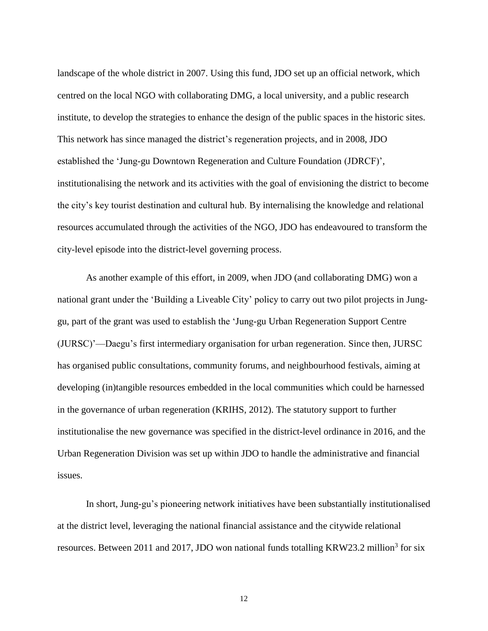landscape of the whole district in 2007. Using this fund, JDO set up an official network, which centred on the local NGO with collaborating DMG, a local university, and a public research institute, to develop the strategies to enhance the design of the public spaces in the historic sites. This network has since managed the district's regeneration projects, and in 2008, JDO established the 'Jung-gu Downtown Regeneration and Culture Foundation (JDRCF)', institutionalising the network and its activities with the goal of envisioning the district to become the city's key tourist destination and cultural hub. By internalising the knowledge and relational resources accumulated through the activities of the NGO, JDO has endeavoured to transform the city-level episode into the district-level governing process.

As another example of this effort, in 2009, when JDO (and collaborating DMG) won a national grant under the 'Building a Liveable City' policy to carry out two pilot projects in Junggu, part of the grant was used to establish the 'Jung-gu Urban Regeneration Support Centre (JURSC)'—Daegu's first intermediary organisation for urban regeneration. Since then, JURSC has organised public consultations, community forums, and neighbourhood festivals, aiming at developing (in)tangible resources embedded in the local communities which could be harnessed in the governance of urban regeneration (KRIHS, 2012). The statutory support to further institutionalise the new governance was specified in the district-level ordinance in 2016, and the Urban Regeneration Division was set up within JDO to handle the administrative and financial issues.

In short, Jung-gu's pioneering network initiatives have been substantially institutionalised at the district level, leveraging the national financial assistance and the citywide relational resources. Between 2011 and 2017, JDO won national funds totalling KRW23.2 million<sup>3</sup> for six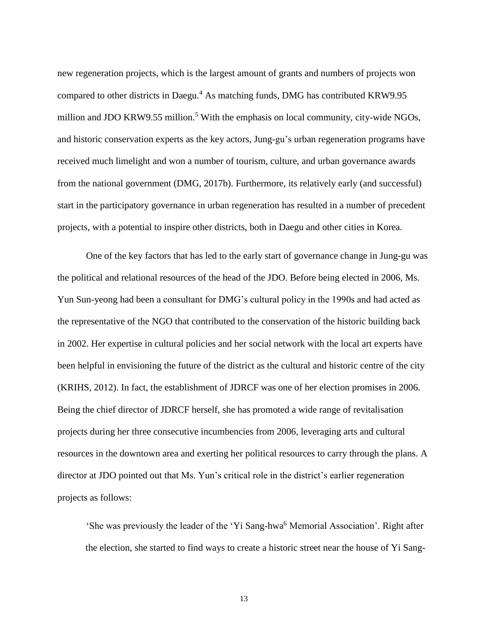new regeneration projects, which is the largest amount of grants and numbers of projects won compared to other districts in Daegu.<sup>4</sup> As matching funds, DMG has contributed KRW9.95 million and JDO KRW9.55 million.<sup>5</sup> With the emphasis on local community, city-wide NGOs, and historic conservation experts as the key actors, Jung-gu's urban regeneration programs have received much limelight and won a number of tourism, culture, and urban governance awards from the national government (DMG, 2017b). Furthermore, its relatively early (and successful) start in the participatory governance in urban regeneration has resulted in a number of precedent projects, with a potential to inspire other districts, both in Daegu and other cities in Korea.

One of the key factors that has led to the early start of governance change in Jung-gu was the political and relational resources of the head of the JDO. Before being elected in 2006, Ms. Yun Sun-yeong had been a consultant for DMG's cultural policy in the 1990s and had acted as the representative of the NGO that contributed to the conservation of the historic building back in 2002. Her expertise in cultural policies and her social network with the local art experts have been helpful in envisioning the future of the district as the cultural and historic centre of the city (KRIHS, 2012). In fact, the establishment of JDRCF was one of her election promises in 2006. Being the chief director of JDRCF herself, she has promoted a wide range of revitalisation projects during her three consecutive incumbencies from 2006, leveraging arts and cultural resources in the downtown area and exerting her political resources to carry through the plans. A director at JDO pointed out that Ms. Yun's critical role in the district's earlier regeneration projects as follows:

'She was previously the leader of the 'Yi Sang-hwa<sup>6</sup> Memorial Association'. Right after the election, she started to find ways to create a historic street near the house of Yi Sang-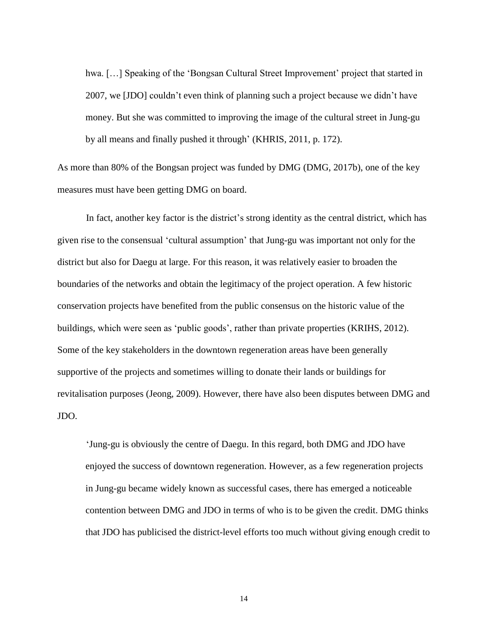hwa. [...] Speaking of the 'Bongsan Cultural Street Improvement' project that started in 2007, we [JDO] couldn't even think of planning such a project because we didn't have money. But she was committed to improving the image of the cultural street in Jung-gu by all means and finally pushed it through' (KHRIS, 2011, p. 172).

As more than 80% of the Bongsan project was funded by DMG (DMG, 2017b), one of the key measures must have been getting DMG on board.

In fact, another key factor is the district's strong identity as the central district, which has given rise to the consensual 'cultural assumption' that Jung-gu was important not only for the district but also for Daegu at large. For this reason, it was relatively easier to broaden the boundaries of the networks and obtain the legitimacy of the project operation. A few historic conservation projects have benefited from the public consensus on the historic value of the buildings, which were seen as 'public goods', rather than private properties (KRIHS, 2012). Some of the key stakeholders in the downtown regeneration areas have been generally supportive of the projects and sometimes willing to donate their lands or buildings for revitalisation purposes (Jeong, 2009). However, there have also been disputes between DMG and JDO.

'Jung-gu is obviously the centre of Daegu. In this regard, both DMG and JDO have enjoyed the success of downtown regeneration. However, as a few regeneration projects in Jung-gu became widely known as successful cases, there has emerged a noticeable contention between DMG and JDO in terms of who is to be given the credit. DMG thinks that JDO has publicised the district-level efforts too much without giving enough credit to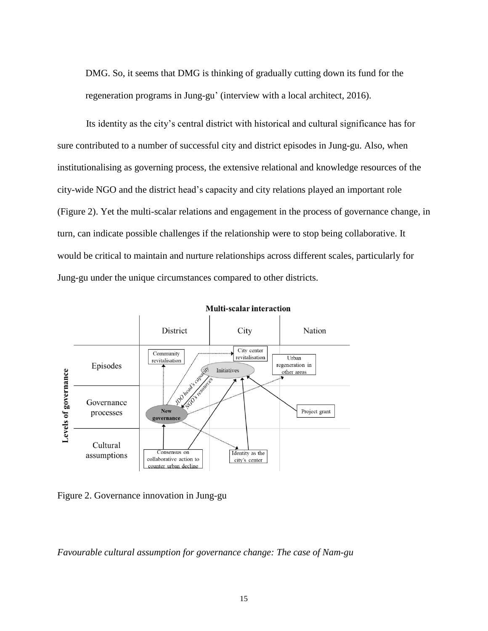DMG. So, it seems that DMG is thinking of gradually cutting down its fund for the regeneration programs in Jung-gu' (interview with a local architect, 2016).

Its identity as the city's central district with historical and cultural significance has for sure contributed to a number of successful city and district episodes in Jung-gu. Also, when institutionalising as governing process, the extensive relational and knowledge resources of the city-wide NGO and the district head's capacity and city relations played an important role (Figure 2). Yet the multi-scalar relations and engagement in the process of governance change, in turn, can indicate possible challenges if the relationship were to stop being collaborative. It would be critical to maintain and nurture relationships across different scales, particularly for Jung-gu under the unique circumstances compared to other districts.



Figure 2. Governance innovation in Jung-gu

*Favourable cultural assumption for governance change: The case of Nam-gu*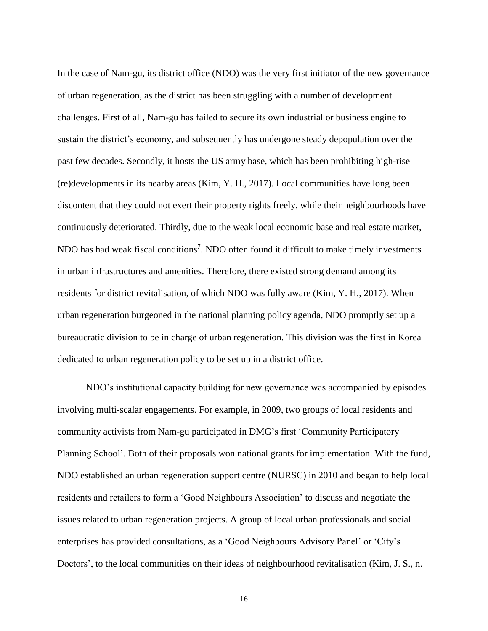In the case of Nam-gu, its district office (NDO) was the very first initiator of the new governance of urban regeneration, as the district has been struggling with a number of development challenges. First of all, Nam-gu has failed to secure its own industrial or business engine to sustain the district's economy, and subsequently has undergone steady depopulation over the past few decades. Secondly, it hosts the US army base, which has been prohibiting high-rise (re)developments in its nearby areas (Kim, Y. H., 2017). Local communities have long been discontent that they could not exert their property rights freely, while their neighbourhoods have continuously deteriorated. Thirdly, due to the weak local economic base and real estate market, NDO has had weak fiscal conditions<sup>7</sup>. NDO often found it difficult to make timely investments in urban infrastructures and amenities. Therefore, there existed strong demand among its residents for district revitalisation, of which NDO was fully aware (Kim, Y. H., 2017). When urban regeneration burgeoned in the national planning policy agenda, NDO promptly set up a bureaucratic division to be in charge of urban regeneration. This division was the first in Korea dedicated to urban regeneration policy to be set up in a district office.

NDO's institutional capacity building for new governance was accompanied by episodes involving multi-scalar engagements. For example, in 2009, two groups of local residents and community activists from Nam-gu participated in DMG's first 'Community Participatory Planning School'. Both of their proposals won national grants for implementation. With the fund, NDO established an urban regeneration support centre (NURSC) in 2010 and began to help local residents and retailers to form a 'Good Neighbours Association' to discuss and negotiate the issues related to urban regeneration projects. A group of local urban professionals and social enterprises has provided consultations, as a 'Good Neighbours Advisory Panel' or 'City's Doctors', to the local communities on their ideas of neighbourhood revitalisation (Kim, J. S., n.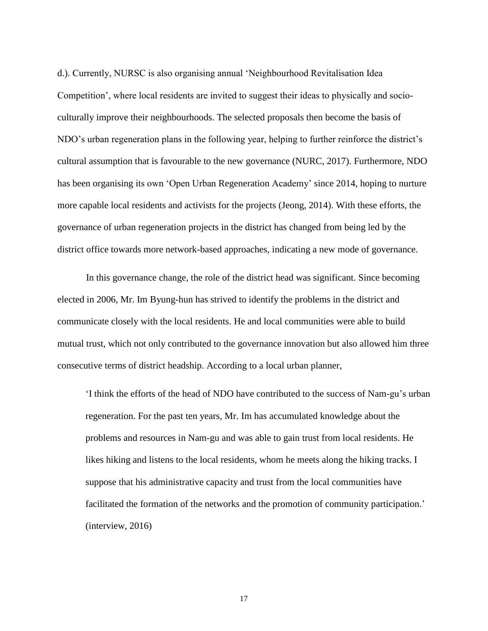d.). Currently, NURSC is also organising annual 'Neighbourhood Revitalisation Idea Competition', where local residents are invited to suggest their ideas to physically and socioculturally improve their neighbourhoods. The selected proposals then become the basis of NDO's urban regeneration plans in the following year, helping to further reinforce the district's cultural assumption that is favourable to the new governance (NURC, 2017). Furthermore, NDO has been organising its own 'Open Urban Regeneration Academy' since 2014, hoping to nurture more capable local residents and activists for the projects (Jeong, 2014). With these efforts, the governance of urban regeneration projects in the district has changed from being led by the district office towards more network-based approaches, indicating a new mode of governance.

In this governance change, the role of the district head was significant. Since becoming elected in 2006, Mr. Im Byung-hun has strived to identify the problems in the district and communicate closely with the local residents. He and local communities were able to build mutual trust, which not only contributed to the governance innovation but also allowed him three consecutive terms of district headship. According to a local urban planner,

'I think the efforts of the head of NDO have contributed to the success of Nam-gu's urban regeneration. For the past ten years, Mr. Im has accumulated knowledge about the problems and resources in Nam-gu and was able to gain trust from local residents. He likes hiking and listens to the local residents, whom he meets along the hiking tracks. I suppose that his administrative capacity and trust from the local communities have facilitated the formation of the networks and the promotion of community participation.' (interview, 2016)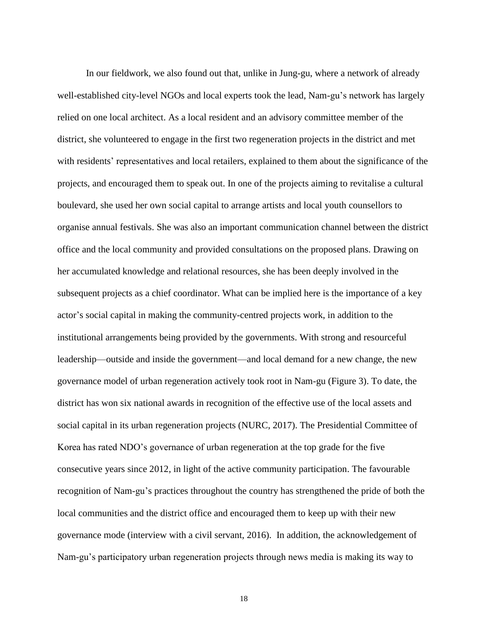In our fieldwork, we also found out that, unlike in Jung-gu, where a network of already well-established city-level NGOs and local experts took the lead, Nam-gu's network has largely relied on one local architect. As a local resident and an advisory committee member of the district, she volunteered to engage in the first two regeneration projects in the district and met with residents' representatives and local retailers, explained to them about the significance of the projects, and encouraged them to speak out. In one of the projects aiming to revitalise a cultural boulevard, she used her own social capital to arrange artists and local youth counsellors to organise annual festivals. She was also an important communication channel between the district office and the local community and provided consultations on the proposed plans. Drawing on her accumulated knowledge and relational resources, she has been deeply involved in the subsequent projects as a chief coordinator. What can be implied here is the importance of a key actor's social capital in making the community-centred projects work, in addition to the institutional arrangements being provided by the governments. With strong and resourceful leadership—outside and inside the government—and local demand for a new change, the new governance model of urban regeneration actively took root in Nam-gu (Figure 3). To date, the district has won six national awards in recognition of the effective use of the local assets and social capital in its urban regeneration projects (NURC, 2017). The Presidential Committee of Korea has rated NDO's governance of urban regeneration at the top grade for the five consecutive years since 2012, in light of the active community participation. The favourable recognition of Nam-gu's practices throughout the country has strengthened the pride of both the local communities and the district office and encouraged them to keep up with their new governance mode (interview with a civil servant, 2016). In addition, the acknowledgement of Nam-gu's participatory urban regeneration projects through news media is making its way to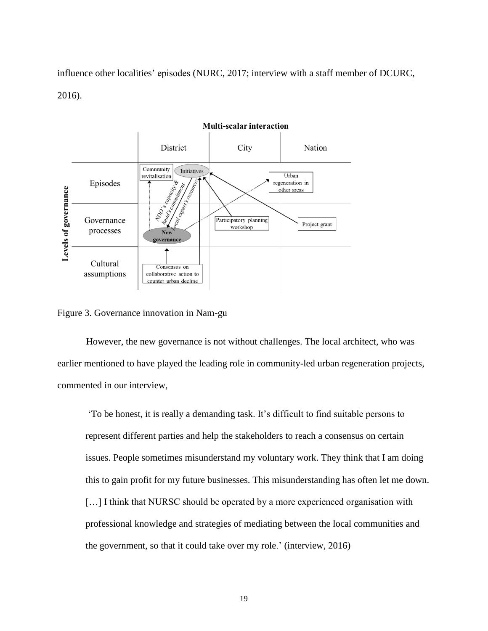influence other localities' episodes (NURC, 2017; interview with a staff member of DCURC, 2016).



Figure 3. Governance innovation in Nam-gu

However, the new governance is not without challenges. The local architect, who was earlier mentioned to have played the leading role in community-led urban regeneration projects, commented in our interview,

'To be honest, it is really a demanding task. It's difficult to find suitable persons to represent different parties and help the stakeholders to reach a consensus on certain issues. People sometimes misunderstand my voluntary work. They think that I am doing this to gain profit for my future businesses. This misunderstanding has often let me down. [...] I think that NURSC should be operated by a more experienced organisation with professional knowledge and strategies of mediating between the local communities and the government, so that it could take over my role.' (interview, 2016)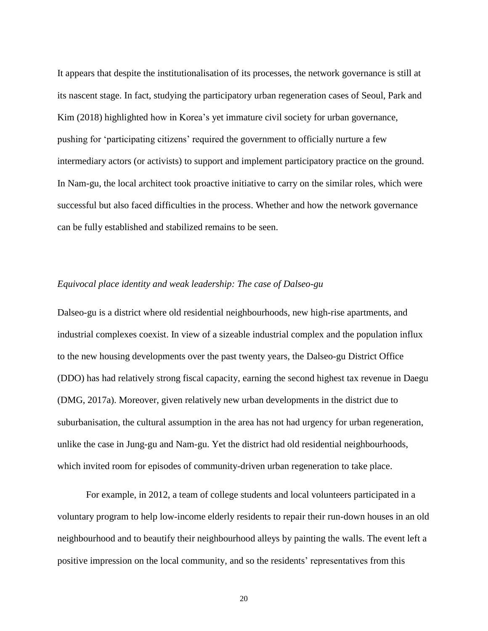It appears that despite the institutionalisation of its processes, the network governance is still at its nascent stage. In fact, studying the participatory urban regeneration cases of Seoul, Park and Kim (2018) highlighted how in Korea's yet immature civil society for urban governance, pushing for 'participating citizens' required the government to officially nurture a few intermediary actors (or activists) to support and implement participatory practice on the ground. In Nam-gu, the local architect took proactive initiative to carry on the similar roles, which were successful but also faced difficulties in the process. Whether and how the network governance can be fully established and stabilized remains to be seen.

# *Equivocal place identity and weak leadership: The case of Dalseo-gu*

Dalseo-gu is a district where old residential neighbourhoods, new high-rise apartments, and industrial complexes coexist. In view of a sizeable industrial complex and the population influx to the new housing developments over the past twenty years, the Dalseo-gu District Office (DDO) has had relatively strong fiscal capacity, earning the second highest tax revenue in Daegu (DMG, 2017a). Moreover, given relatively new urban developments in the district due to suburbanisation, the cultural assumption in the area has not had urgency for urban regeneration, unlike the case in Jung-gu and Nam-gu. Yet the district had old residential neighbourhoods, which invited room for episodes of community-driven urban regeneration to take place.

For example, in 2012, a team of college students and local volunteers participated in a voluntary program to help low-income elderly residents to repair their run-down houses in an old neighbourhood and to beautify their neighbourhood alleys by painting the walls. The event left a positive impression on the local community, and so the residents' representatives from this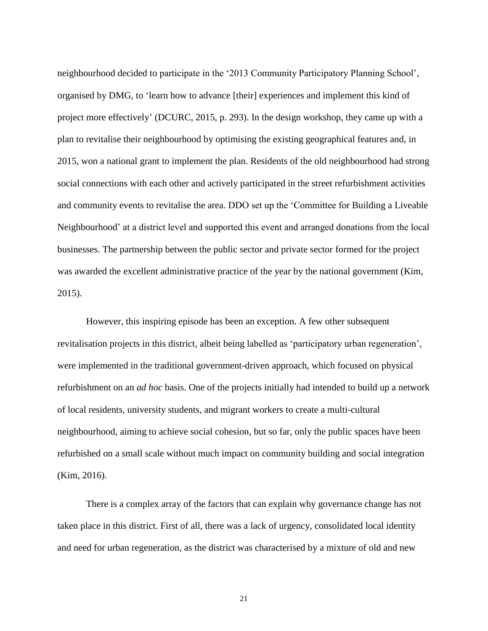neighbourhood decided to participate in the '2013 Community Participatory Planning School', organised by DMG, to 'learn how to advance [their] experiences and implement this kind of project more effectively' (DCURC, 2015, p. 293). In the design workshop, they came up with a plan to revitalise their neighbourhood by optimising the existing geographical features and, in 2015, won a national grant to implement the plan. Residents of the old neighbourhood had strong social connections with each other and actively participated in the street refurbishment activities and community events to revitalise the area. DDO set up the 'Committee for Building a Liveable Neighbourhood' at a district level and supported this event and arranged donations from the local businesses. The partnership between the public sector and private sector formed for the project was awarded the excellent administrative practice of the year by the national government (Kim, 2015).

However, this inspiring episode has been an exception. A few other subsequent revitalisation projects in this district, albeit being labelled as 'participatory urban regeneration', were implemented in the traditional government-driven approach, which focused on physical refurbishment on an *ad hoc* basis. One of the projects initially had intended to build up a network of local residents, university students, and migrant workers to create a multi-cultural neighbourhood, aiming to achieve social cohesion, but so far, only the public spaces have been refurbished on a small scale without much impact on community building and social integration (Kim, 2016).

There is a complex array of the factors that can explain why governance change has not taken place in this district. First of all, there was a lack of urgency, consolidated local identity and need for urban regeneration, as the district was characterised by a mixture of old and new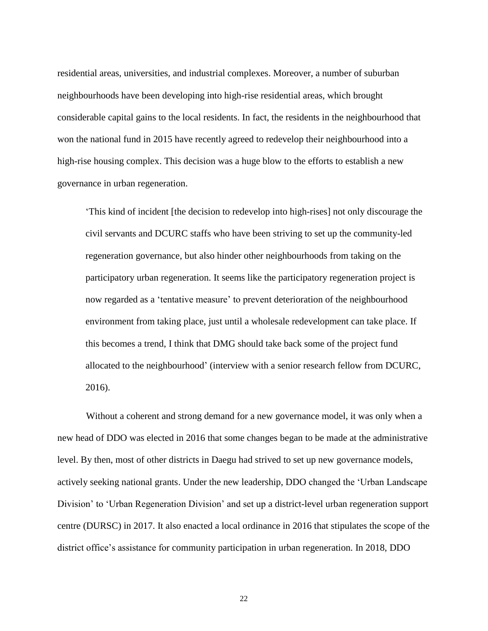residential areas, universities, and industrial complexes. Moreover, a number of suburban neighbourhoods have been developing into high-rise residential areas, which brought considerable capital gains to the local residents. In fact, the residents in the neighbourhood that won the national fund in 2015 have recently agreed to redevelop their neighbourhood into a high-rise housing complex. This decision was a huge blow to the efforts to establish a new governance in urban regeneration.

'This kind of incident [the decision to redevelop into high-rises] not only discourage the civil servants and DCURC staffs who have been striving to set up the community-led regeneration governance, but also hinder other neighbourhoods from taking on the participatory urban regeneration. It seems like the participatory regeneration project is now regarded as a 'tentative measure' to prevent deterioration of the neighbourhood environment from taking place, just until a wholesale redevelopment can take place. If this becomes a trend, I think that DMG should take back some of the project fund allocated to the neighbourhood' (interview with a senior research fellow from DCURC, 2016).

Without a coherent and strong demand for a new governance model, it was only when a new head of DDO was elected in 2016 that some changes began to be made at the administrative level. By then, most of other districts in Daegu had strived to set up new governance models, actively seeking national grants. Under the new leadership, DDO changed the 'Urban Landscape Division' to 'Urban Regeneration Division' and set up a district-level urban regeneration support centre (DURSC) in 2017. It also enacted a local ordinance in 2016 that stipulates the scope of the district office's assistance for community participation in urban regeneration. In 2018, DDO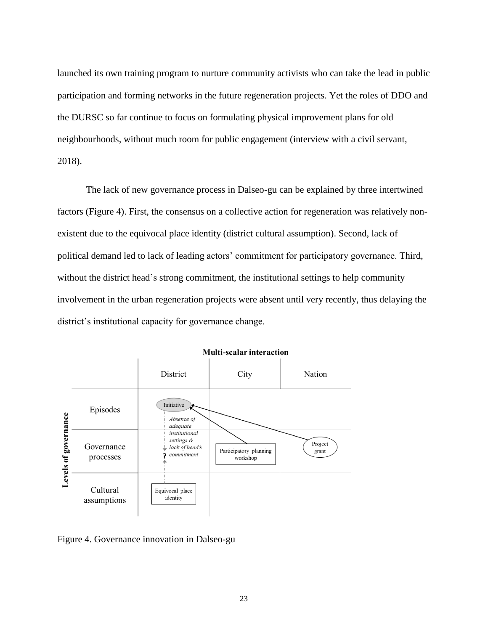launched its own training program to nurture community activists who can take the lead in public participation and forming networks in the future regeneration projects. Yet the roles of DDO and the DURSC so far continue to focus on formulating physical improvement plans for old neighbourhoods, without much room for public engagement (interview with a civil servant, 2018).

The lack of new governance process in Dalseo-gu can be explained by three intertwined factors (Figure 4). First, the consensus on a collective action for regeneration was relatively nonexistent due to the equivocal place identity (district cultural assumption). Second, lack of political demand led to lack of leading actors' commitment for participatory governance. Third, without the district head's strong commitment, the institutional settings to help community involvement in the urban regeneration projects were absent until very recently, thus delaying the district's institutional capacity for governance change.



#### **Multi-scalar interaction**

Figure 4. Governance innovation in Dalseo-gu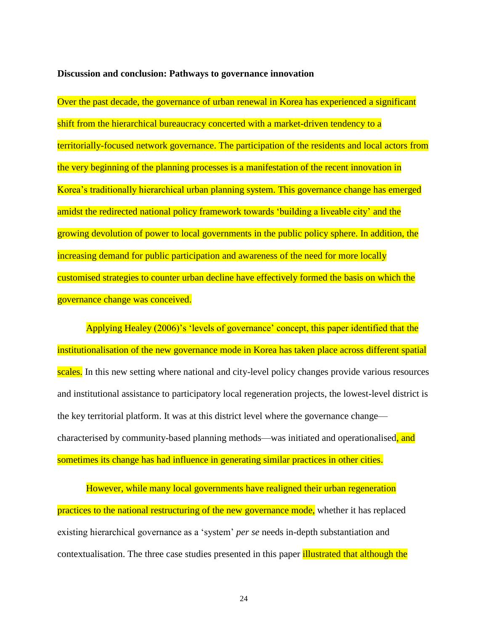#### **Discussion and conclusion: Pathways to governance innovation**

Over the past decade, the governance of urban renewal in Korea has experienced a significant shift from the hierarchical bureaucracy concerted with a market-driven tendency to a territorially-focused network governance. The participation of the residents and local actors from the very beginning of the planning processes is a manifestation of the recent innovation in Korea's traditionally hierarchical urban planning system. This governance change has emerged amidst the redirected national policy framework towards 'building a liveable city' and the growing devolution of power to local governments in the public policy sphere. In addition, the increasing demand for public participation and awareness of the need for more locally customised strategies to counter urban decline have effectively formed the basis on which the governance change was conceived.

Applying Healey (2006)'s 'levels of governance' concept, this paper identified that the institutionalisation of the new governance mode in Korea has taken place across different spatial scales. In this new setting where national and city-level policy changes provide various resources and institutional assistance to participatory local regeneration projects, the lowest-level district is the key territorial platform. It was at this district level where the governance change characterised by community-based planning methods—was initiated and operationalised, and sometimes its change has had influence in generating similar practices in other cities.

However, while many local governments have realigned their urban regeneration practices to the national restructuring of the new governance mode, whether it has replaced existing hierarchical governance as a 'system' *per se* needs in-depth substantiation and contextualisation. The three case studies presented in this paper illustrated that although the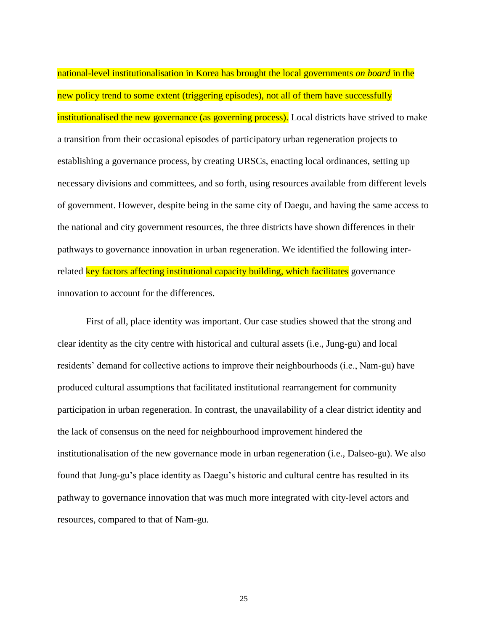national-level institutionalisation in Korea has brought the local governments *on board* in the new policy trend to some extent (triggering episodes), not all of them have successfully institutionalised the new governance (as governing process). Local districts have strived to make a transition from their occasional episodes of participatory urban regeneration projects to establishing a governance process, by creating URSCs, enacting local ordinances, setting up necessary divisions and committees, and so forth, using resources available from different levels of government. However, despite being in the same city of Daegu, and having the same access to the national and city government resources, the three districts have shown differences in their pathways to governance innovation in urban regeneration. We identified the following interrelated **key factors affecting institutional capacity building, which facilitates** governance innovation to account for the differences.

First of all, place identity was important. Our case studies showed that the strong and clear identity as the city centre with historical and cultural assets (i.e., Jung-gu) and local residents' demand for collective actions to improve their neighbourhoods (i.e., Nam-gu) have produced cultural assumptions that facilitated institutional rearrangement for community participation in urban regeneration. In contrast, the unavailability of a clear district identity and the lack of consensus on the need for neighbourhood improvement hindered the institutionalisation of the new governance mode in urban regeneration (i.e., Dalseo-gu). We also found that Jung-gu's place identity as Daegu's historic and cultural centre has resulted in its pathway to governance innovation that was much more integrated with city-level actors and resources, compared to that of Nam-gu.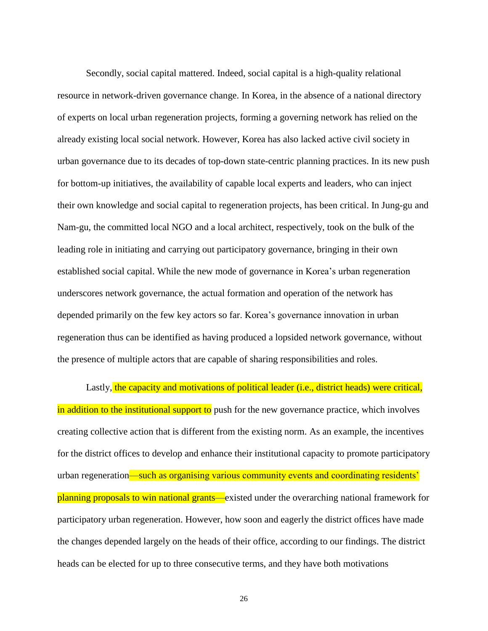Secondly, social capital mattered. Indeed, social capital is a high-quality relational resource in network-driven governance change. In Korea, in the absence of a national directory of experts on local urban regeneration projects, forming a governing network has relied on the already existing local social network. However, Korea has also lacked active civil society in urban governance due to its decades of top-down state-centric planning practices. In its new push for bottom-up initiatives, the availability of capable local experts and leaders, who can inject their own knowledge and social capital to regeneration projects, has been critical. In Jung-gu and Nam-gu, the committed local NGO and a local architect, respectively, took on the bulk of the leading role in initiating and carrying out participatory governance, bringing in their own established social capital. While the new mode of governance in Korea's urban regeneration underscores network governance, the actual formation and operation of the network has depended primarily on the few key actors so far. Korea's governance innovation in urban regeneration thus can be identified as having produced a lopsided network governance, without the presence of multiple actors that are capable of sharing responsibilities and roles.

Lastly, the capacity and motivations of political leader (i.e., district heads) were critical, in addition to the institutional support to push for the new governance practice, which involves creating collective action that is different from the existing norm. As an example, the incentives for the district offices to develop and enhance their institutional capacity to promote participatory urban regeneration—such as organising various community events and coordinating residents' planning proposals to win national grants—existed under the overarching national framework for participatory urban regeneration. However, how soon and eagerly the district offices have made the changes depended largely on the heads of their office, according to our findings. The district heads can be elected for up to three consecutive terms, and they have both motivations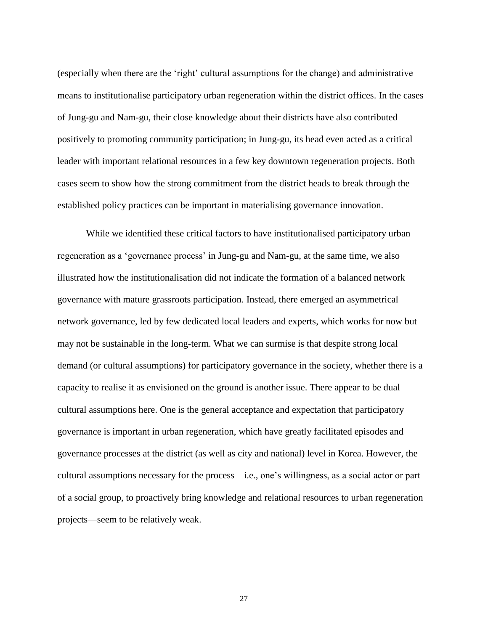(especially when there are the 'right' cultural assumptions for the change) and administrative means to institutionalise participatory urban regeneration within the district offices. In the cases of Jung-gu and Nam-gu, their close knowledge about their districts have also contributed positively to promoting community participation; in Jung-gu, its head even acted as a critical leader with important relational resources in a few key downtown regeneration projects. Both cases seem to show how the strong commitment from the district heads to break through the established policy practices can be important in materialising governance innovation.

While we identified these critical factors to have institutionalised participatory urban regeneration as a 'governance process' in Jung-gu and Nam-gu, at the same time, we also illustrated how the institutionalisation did not indicate the formation of a balanced network governance with mature grassroots participation. Instead, there emerged an asymmetrical network governance, led by few dedicated local leaders and experts, which works for now but may not be sustainable in the long-term. What we can surmise is that despite strong local demand (or cultural assumptions) for participatory governance in the society, whether there is a capacity to realise it as envisioned on the ground is another issue. There appear to be dual cultural assumptions here. One is the general acceptance and expectation that participatory governance is important in urban regeneration, which have greatly facilitated episodes and governance processes at the district (as well as city and national) level in Korea. However, the cultural assumptions necessary for the process—i.e., one's willingness, as a social actor or part of a social group, to proactively bring knowledge and relational resources to urban regeneration projects—seem to be relatively weak.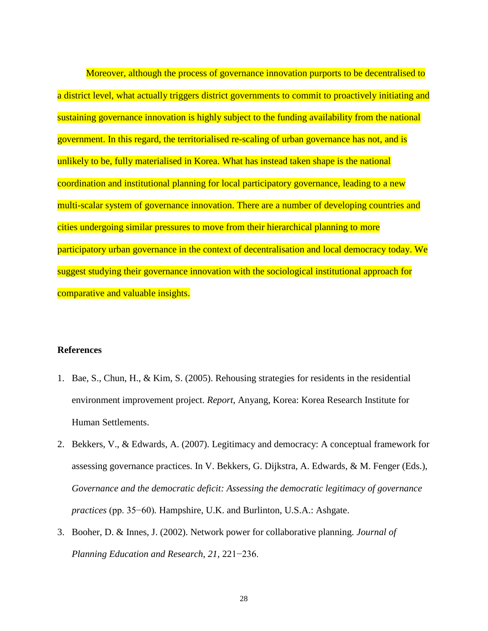Moreover, although the process of governance innovation purports to be decentralised to a district level, what actually triggers district governments to commit to proactively initiating and sustaining governance innovation is highly subject to the funding availability from the national government. In this regard, the territorialised re-scaling of urban governance has not, and is unlikely to be, fully materialised in Korea. What has instead taken shape is the national coordination and institutional planning for local participatory governance, leading to a new multi-scalar system of governance innovation. There are a number of developing countries and cities undergoing similar pressures to move from their hierarchical planning to more participatory urban governance in the context of decentralisation and local democracy today. We suggest studying their governance innovation with the sociological institutional approach for comparative and valuable insights.

# **References**

- 1. Bae, S., Chun, H., & Kim, S. (2005). Rehousing strategies for residents in the residential environment improvement project. *Report*, Anyang, Korea: Korea Research Institute for Human Settlements.
- 2. Bekkers, V., & Edwards, A. (2007). Legitimacy and democracy: A conceptual framework for assessing governance practices. In V. Bekkers, G. Dijkstra, A. Edwards, & M. Fenger (Eds.), *Governance and the democratic deficit: Assessing the democratic legitimacy of governance practices* (pp. 35−60)*.* Hampshire, U.K. and Burlinton, U.S.A.: Ashgate.
- 3. Booher, D. & Innes, J. (2002). Network power for collaborative planning. *Journal of Planning Education and Research, 21*, 221−236.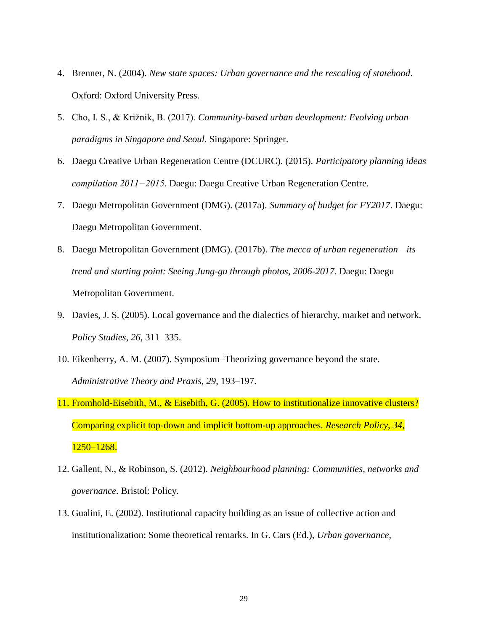- 4. Brenner, N. (2004). *New state spaces: Urban governance and the rescaling of statehood*. Oxford: Oxford University Press.
- 5. Cho, I. S., & Križnik, B. (2017). *Community-based urban development: Evolving urban paradigms in Singapore and Seoul*. Singapore: Springer.
- 6. Daegu Creative Urban Regeneration Centre (DCURC). (2015). *Participatory planning ideas compilation 2011−2015*. Daegu: Daegu Creative Urban Regeneration Centre.
- 7. Daegu Metropolitan Government (DMG). (2017a). *Summary of budget for FY2017*. Daegu: Daegu Metropolitan Government.
- 8. Daegu Metropolitan Government (DMG). (2017b). *The mecca of urban regeneration—its trend and starting point: Seeing Jung-gu through photos, 2006-2017.* Daegu: Daegu Metropolitan Government.
- 9. Davies, J. S. (2005). Local governance and the dialectics of hierarchy, market and network. *Policy Studies, 26*, 311–335.
- 10. Eikenberry, A. M. (2007). Symposium–Theorizing governance beyond the state. *Administrative Theory and Praxis, 29*, 193–197.
- 11. Fromhold-Eisebith, M., & Eisebith, G. (2005). How to institutionalize innovative clusters? Comparing explicit top-down and implicit bottom-up approaches. *Research Policy*, *34*, 1250–1268.
- 12. Gallent, N., & Robinson, S. (2012). *Neighbourhood planning: Communities, networks and governance*. Bristol: Policy.
- 13. Gualini, E. (2002). Institutional capacity building as an issue of collective action and institutionalization: Some theoretical remarks. In G. Cars (Ed.), *Urban governance,*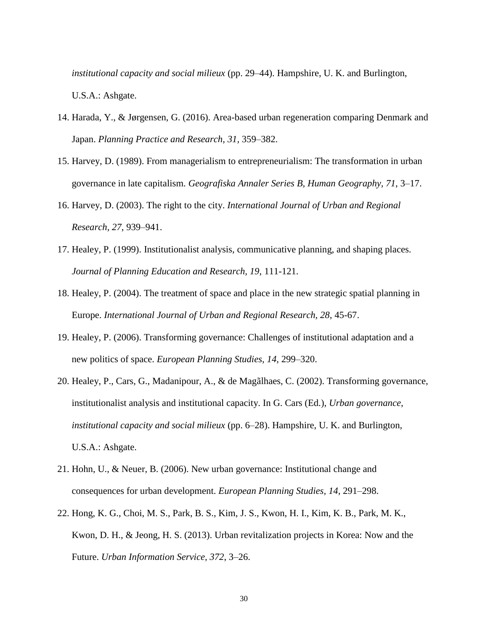*institutional capacity and social milieux* (pp. 29–44). Hampshire, U. K. and Burlington, U.S.A.: Ashgate.

- 14. Harada, Y., & Jørgensen, G. (2016). Area-based urban regeneration comparing Denmark and Japan. *Planning Practice and Research, 31,* 359–382.
- 15. Harvey, D. (1989). From managerialism to entrepreneurialism: The transformation in urban governance in late capitalism. *Geografiska Annaler Series B, Human Geography, 71*, 3–17.
- 16. Harvey, D. (2003). The right to the city. *International Journal of Urban and Regional Research, 27*, 939–941.
- 17. Healey, P. (1999). Institutionalist analysis, communicative planning, and shaping places. *Journal of Planning Education and Research, 19*, 111-121.
- 18. Healey, P. (2004). The treatment of space and place in the new strategic spatial planning in Europe. *International Journal of Urban and Regional Research, 28*, 45-67.
- 19. Healey, P. (2006). Transforming governance: Challenges of institutional adaptation and a new politics of space. *European Planning Studies, 14*, 299–320.
- 20. Healey, P., Cars, G., Madanipour, A., & de Magãlhaes, C. (2002). Transforming governance, institutionalist analysis and institutional capacity. In G. Cars (Ed.), *Urban governance, institutional capacity and social milieux* (pp. 6–28). Hampshire, U. K. and Burlington, U.S.A.: Ashgate.
- 21. Hohn, U., & Neuer, B. (2006). New urban governance: Institutional change and consequences for urban development. *European Planning Studies, 14*, 291–298.
- 22. Hong, K. G., Choi, M. S., Park, B. S., Kim, J. S., Kwon, H. I., Kim, K. B., Park, M. K., Kwon, D. H., & Jeong, H. S. (2013). Urban revitalization projects in Korea: Now and the Future. *Urban Information Service, 372*, 3–26.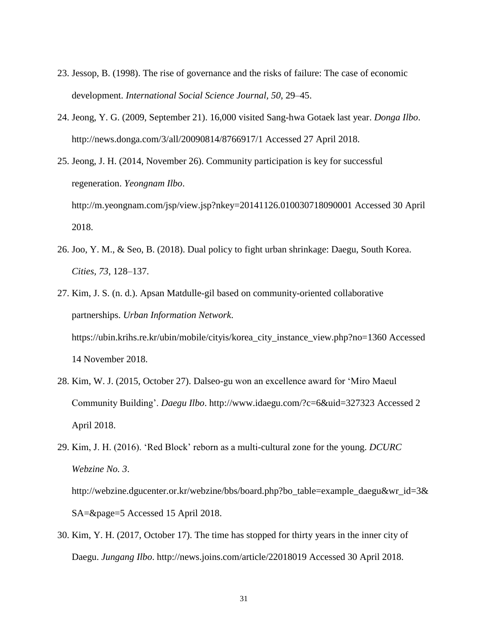- 23. Jessop, B. (1998). The rise of governance and the risks of failure: The case of economic development. *International Social Science Journal, 50*, 29–45.
- 24. Jeong, Y. G. (2009, September 21). 16,000 visited Sang-hwa Gotaek last year. *Donga Ilbo*. <http://news.donga.com/3/all/20090814/8766917/1> Accessed 27 April 2018.
- 25. Jeong, J. H. (2014, November 26). Community participation is key for successful regeneration. *Yeongnam Ilbo*. <http://m.yeongnam.com/jsp/view.jsp?nkey=20141126.010030718090001> Accessed 30 April 2018.
- 26. Joo, Y. M., & Seo, B. (2018). Dual policy to fight urban shrinkage: Daegu, South Korea. *Cities, 73*, 128–137.
- 27. Kim, J. S. (n. d.). Apsan Matdulle-gil based on community-oriented collaborative partnerships. *Urban Information Network*. [https://ubin.krihs.re.kr/ubin/mobile/cityis/korea\\_city\\_instance\\_view.php?no=1360](https://ubin.krihs.re.kr/ubin/mobile/cityis/korea_city_instance_view.php?no=1360) Accessed 14 November 2018.
- 28. Kim, W. J. (2015, October 27). Dalseo-gu won an excellence award for 'Miro Maeul Community Building'. *Daegu Ilbo*.<http://www.idaegu.com/?c=6&uid=327323> Accessed 2 April 2018.
- 29. Kim, J. H. (2016). 'Red Block' reborn as a multi-cultural zone for the young. *DCURC Webzine No. 3*.

[http://webzine.dgucenter.or.kr/webzine/bbs/board.php?bo\\_table=example\\_daegu&wr\\_id=3&](http://webzine.dgucenter.or.kr/webzine/bbs/board.php?bo_table=example_daegu&wr_id=3&SA=&page=5) [SA=&page=5](http://webzine.dgucenter.or.kr/webzine/bbs/board.php?bo_table=example_daegu&wr_id=3&SA=&page=5) Accessed 15 April 2018.

30. Kim, Y. H. (2017, October 17). The time has stopped for thirty years in the inner city of Daegu. *Jungang Ilbo*.<http://news.joins.com/article/22018019> Accessed 30 April 2018.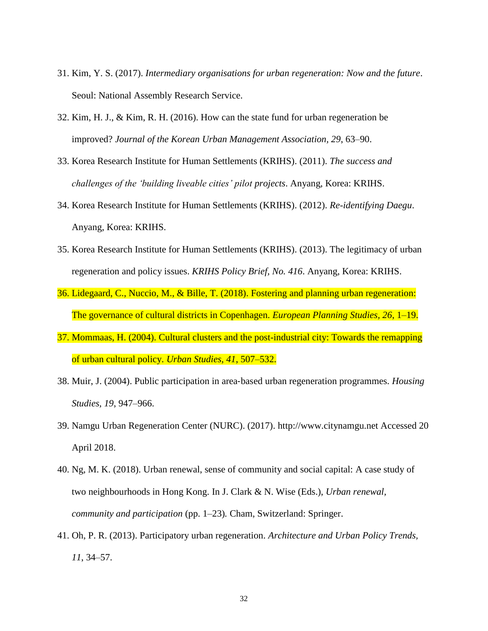- 31. Kim, Y. S. (2017). *Intermediary organisations for urban regeneration: Now and the future*. Seoul: National Assembly Research Service.
- 32. Kim, H. J., & Kim, R. H. (2016). How can the state fund for urban regeneration be improved? *Journal of the Korean Urban Management Association, 29*, 63–90.
- 33. Korea Research Institute for Human Settlements (KRIHS). (2011). *The success and challenges of the 'building liveable cities' pilot projects*. Anyang, Korea: KRIHS.
- 34. Korea Research Institute for Human Settlements (KRIHS). (2012). *Re-identifying Daegu*. Anyang, Korea: KRIHS.
- 35. Korea Research Institute for Human Settlements (KRIHS). (2013). The legitimacy of urban regeneration and policy issues. *KRIHS Policy Brief, No. 416*. Anyang, Korea: KRIHS.
- 36. Lidegaard, C., Nuccio, M., & Bille, T. (2018). Fostering and planning urban regeneration: The governance of cultural districts in Copenhagen. *European Planning Studies, 26*, 1–19.
- 37. Mommaas, H. (2004). Cultural clusters and the post-industrial city: Towards the remapping of urban cultural policy. *Urban Studies, 41*, 507–532.
- 38. Muir, J. (2004). Public participation in area‐based urban regeneration programmes. *Housing Studies, 19*, 947–966.
- 39. Namgu Urban Regeneration Center (NURC). (2017). [http://www.citynamgu.net](http://www.citynamgu.net/) Accessed 20 April 2018.
- 40. Ng, M. K. (2018). Urban renewal, sense of community and social capital: A case study of two neighbourhoods in Hong Kong. In J. Clark & N. Wise (Eds.), *Urban renewal, community and participation* (pp. 1–23)*.* Cham, Switzerland: Springer.
- 41. Oh, P. R. (2013). Participatory urban regeneration. *Architecture and Urban Policy Trends, 11*, 34–57.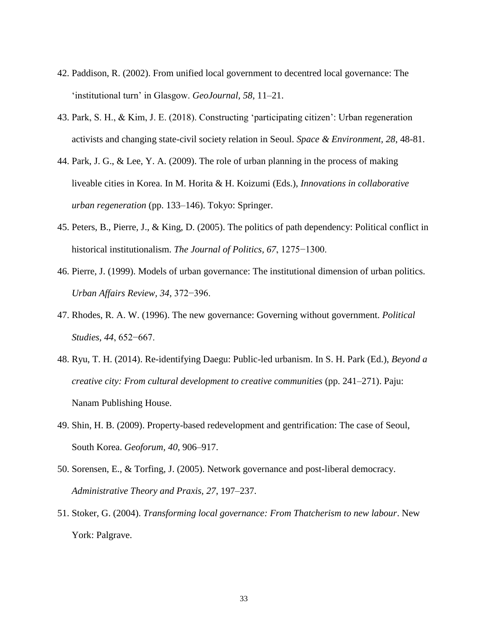- 42. Paddison, R. (2002). From unified local government to decentred local governance: The 'institutional turn' in Glasgow. *GeoJournal, 58*, 11–21.
- 43. Park, S. H., & Kim, J. E. (2018). Constructing 'participating citizen': Urban regeneration activists and changing state-civil society relation in Seoul. *Space & Environment, 28*, 48-81.
- 44. Park, J. G., & Lee, Y. A. (2009). The role of urban planning in the process of making liveable cities in Korea. In M. Horita & H. Koizumi (Eds.), *Innovations in collaborative urban regeneration* (pp. 133–146). Tokyo: Springer.
- 45. Peters, B., Pierre, J., & King, D. (2005). The politics of path dependency: Political conflict in historical institutionalism. *The Journal of Politics, 67*, 1275−1300.
- 46. Pierre, J. (1999). Models of urban governance: The institutional dimension of urban politics. *Urban Affairs Review, 34,* 372−396.
- 47. Rhodes, R. A. W. (1996). The new governance: Governing without government. *Political Studies, 44*, 652−667.
- 48. Ryu, T. H. (2014). Re-identifying Daegu: Public-led urbanism. In S. H. Park (Ed.), *Beyond a creative city: From cultural development to creative communities* (pp. 241–271). Paju: Nanam Publishing House.
- 49. Shin, H. B. (2009). Property-based redevelopment and gentrification: The case of Seoul, South Korea. *Geoforum, 40*, 906–917.
- 50. Sorensen, E., & Torfing, J. (2005). Network governance and post-liberal democracy. *Administrative Theory and Praxis, 27*, 197–237.
- 51. Stoker, G. (2004). *Transforming local governance: From Thatcherism to new labour*. New York: Palgrave.